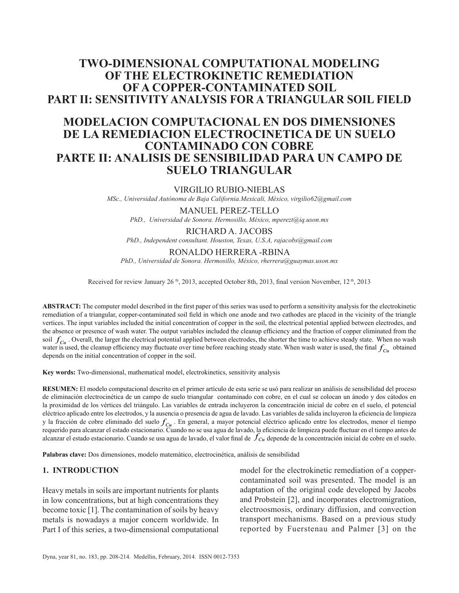# **TWO-DIMENSIONAL COMPUTATIONAL MODELING OF THE ELECTROKINETIC REMEDIATION OF A COPPER-CONTAMINATED SOIL PART II: SENSITIVITY ANALYSIS FOR A TRIANGULAR SOIL FIELD**

# **MODELACION COMPUTACIONAL EN DOS DIMENSIONES DE LA REMEDIACION ELECTROCINETICA DE UN SUELO CONTAMINADO CON COBRE PARTE II: ANALISIS DE SENSIBILIDAD PARA UN CAMPO DE SUELO TRIANGULAR**

#### VIRGILIO RUBIO-NIEBLAS

*MSc., Universidad Autónoma de Baja California.Mexicali, México, virgilio62@gmail.com*

### MANUEL PEREZ-TELLO

*PhD., Universidad de Sonora. Hermosillo, México, mperezt@iq.uson.mx*

#### RICHARD A. JACOBS

*PhD., Independent consultant. Houston, Texas, U.S.A, rajacobs@gmail.com*

## RONALDO HERRERA -RBINA

*PhD., Universidad de Sonora. Hermosillo, México, rherrera@guaymas.uson.mx*

Received for review January 26<sup>th</sup>, 2013, accepted October 8th, 2013, final version November, 12<sup>th</sup>, 2013

**ABSTRACT:** The computer model described in the first paper of this series was used to perform a sensitivity analysis for the electrokinetic remediation of a triangular, copper-contaminated soil field in which one anode and two cathodes are placed in the vicinity of the triangle vertices. The input variables included the initial concentration of copper in the soil, the electrical potential applied between electrodes, and the absence or presence of wash water. The output variables included the cleanup efficiency and the fraction of copper eliminated from the soil  $f_{Cu}$ . Overall, the larger the electrical potential applied between electrodes, the shorter the time to achieve steady state. When no wash water is used, the cleanup efficiency may fluctuate over time before reaching steady state. When wash water is used, the final  $f_{C_u}$  obtained depends on the initial concentration of copper in the soil.

**Key words:** Two-dimensional, mathematical model, electrokinetics, sensitivity analysis

**RESUMEN:** El modelo computacional descrito en el primer artículo de esta serie se usó para realizar un análisis de sensibilidad del proceso de eliminación electrocinética de un campo de suelo triangular contaminado con cobre, en el cual se colocan un ánodo y dos cátodos en la proximidad de los vértices del triángulo. Las variables de entrada incluyeron la concentración inicial de cobre en el suelo, el potencial eléctrico aplicado entre los electrodos, y la ausencia o presencia de agua de lavado. Las variables de salida incluyeron la eficiencia de limpieza y la fracción de cobre eliminado del suelo  $f_{Cu}$ . En general, a mayor potencial eléctrico aplicado entre los electrodos, menor el tiempo requerido para alcanzar el estado estacionario. Cuando no se usa agua de lavado, la eficiencia de limpieza puede fluctuar en el tiempo antes de alcanzar el estado estacionario. Cuando se usa agua de lavado, el valor final de  $J_{Cu}$  depende de la concentración inicial de cobre en el suelo.

**Palabras clave:** Dos dimensiones, modelo matemático, electrocinética, análisis de sensibilidad

#### **1. INTRODUCTION**

Heavy metals in soils are important nutrients for plants in low concentrations, but at high concentrations they become toxic [1]. The contamination of soils by heavy metals is nowadays a major concern worldwide. In Part I of this series, a two-dimensional computational

model for the electrokinetic remediation of a coppercontaminated soil was presented. The model is an adaptation of the original code developed by Jacobs and Probstein [2], and incorporates electromigration, electroosmosis, ordinary diffusion, and convection transport mechanisms. Based on a previous study reported by Fuerstenau and Palmer [3] on the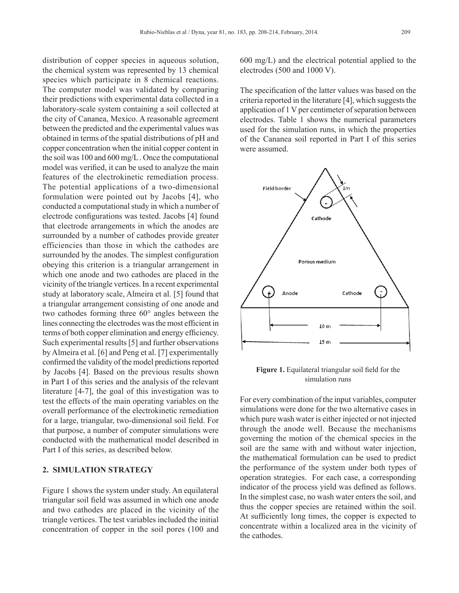distribution of copper species in aqueous solution, the chemical system was represented by 13 chemical species which participate in 8 chemical reactions. The computer model was validated by comparing their predictions with experimental data collected in a laboratory-scale system containing a soil collected at the city of Cananea, Mexico. A reasonable agreement between the predicted and the experimental values was obtained in terms of the spatial distributions of pH and copper concentration when the initial copper content in the soil was 100 and 600 mg/L . Once the computational model was verified, it can be used to analyze the main features of the electrokinetic remediation process. The potential applications of a two-dimensional formulation were pointed out by Jacobs [4], who conducted a computational study in which a number of electrode configurations was tested. Jacobs [4] found that electrode arrangements in which the anodes are surrounded by a number of cathodes provide greater efficiencies than those in which the cathodes are surrounded by the anodes. The simplest configuration obeying this criterion is a triangular arrangement in which one anode and two cathodes are placed in the vicinity of the triangle vertices. In a recent experimental study at laboratory scale, Almeira et al. [5] found that a triangular arrangement consisting of one anode and two cathodes forming three 60° angles between the lines connecting the electrodes was the most efficient in terms of both copper elimination and energy efficiency. Such experimental results [5] and further observations by Almeira et al. [6] and Peng et al. [7] experimentally confirmed the validity of the model predictions reported by Jacobs [4]. Based on the previous results shown in Part I of this series and the analysis of the relevant literature [4-7], the goal of this investigation was to test the effects of the main operating variables on the overall performance of the electrokinetic remediation for a large, triangular, two-dimensional soil field. For that purpose, a number of computer simulations were conducted with the mathematical model described in Part I of this series, as described below.

# **2. SIMULATION STRATEGY**

Figure 1 shows the system under study. An equilateral triangular soil field was assumed in which one anode and two cathodes are placed in the vicinity of the triangle vertices. The test variables included the initial concentration of copper in the soil pores (100 and 600 mg/L) and the electrical potential applied to the electrodes (500 and 1000 V).

The specification of the latter values was based on the criteria reported in the literature [4], which suggests the application of 1 V per centimeter of separation between electrodes. Table 1 shows the numerical parameters used for the simulation runs, in which the properties of the Cananea soil reported in Part I of this series were assumed.



**Figure 1.** Equilateral triangular soil field for the simulation runs

For every combination of the input variables, computer simulations were done for the two alternative cases in which pure wash water is either injected or not injected through the anode well. Because the mechanisms governing the motion of the chemical species in the soil are the same with and without water injection, the mathematical formulation can be used to predict the performance of the system under both types of operation strategies. For each case, a corresponding indicator of the process yield was defined as follows. In the simplest case, no wash water enters the soil, and thus the copper species are retained within the soil. At sufficiently long times, the copper is expected to concentrate within a localized area in the vicinity of the cathodes.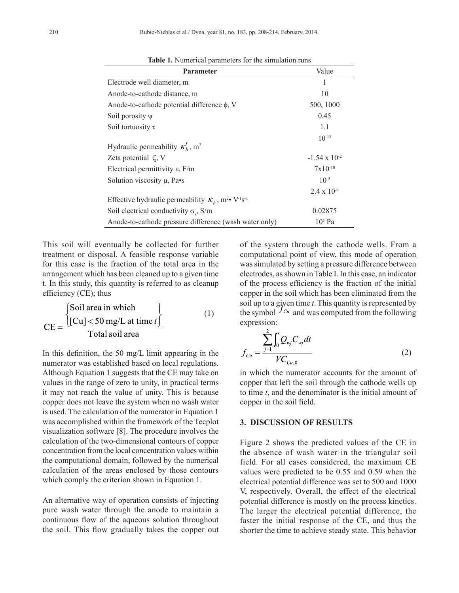| <b>Parameter</b>                                                                          | Value                  |  |
|-------------------------------------------------------------------------------------------|------------------------|--|
| Electrode well diameter, m                                                                | 1                      |  |
| Anode-to-cathode distance, m                                                              | 10                     |  |
| Anode-to-cathode potential difference $\phi$ , V                                          | 500, 1000              |  |
| Soil porosity $\psi$                                                                      | 0.45                   |  |
| Soil tortuosity $\tau$                                                                    | 1.1                    |  |
|                                                                                           | $10^{-15}$             |  |
| Hydraulic permeability $K'_h$ , m <sup>2</sup>                                            |                        |  |
| Zeta potential $\zeta$ , V                                                                | $-1.54 \times 10^{-2}$ |  |
| Electrical permittivity $\varepsilon$ , $F/m$                                             | $7x10^{-10}$           |  |
| Solution viscosity $\mu$ , Pa•s                                                           | $10^{-3}$              |  |
|                                                                                           | $2.4 \times 10^{-9}$   |  |
| Effective hydraulic permeability $K_h$ , m <sup>2</sup> • V <sup>-1</sup> s <sup>-1</sup> |                        |  |
| Soil electrical conductivity $\sigma_s$ , S/m                                             | 0.02875                |  |
| $105$ Pa<br>Anode-to-cathode pressure difference (wash water only)                        |                        |  |

**Table 1.** Numerical parameters for the simulation runs

This soil will eventually be collected for further treatment or disposal. A feasible response variable for this case is the fraction of the total area in the arrangement which has been cleaned up to a given time t. In this study, this quantity is referred to as cleanup efficiency (CE); thus

$$
CE = \frac{\begin{cases} \text{Soil area in which} \\ \text{[Cu]} < 50 \text{ mg/L at time } t \end{cases} \tag{1}
$$
\n
$$
CE = \frac{\text{Total soil area}}{\text{Total soil area}}
$$

In this definition, the 50 mg/L limit appearing in the numerator was established based on local regulations. Although Equation 1 suggests that the CE may take on values in the range of zero to unity, in practical terms it may not reach the value of unity. This is because copper does not leave the system when no wash water is used. The calculation of the numerator in Equation 1 was accomplished within the framework of the Tecplot visualization software [8]. The procedure involves the calculation of the two-dimensional contours of copper concentration from the local concentration values within the computational domain, followed by the numerical calculation of the areas enclosed by those contours which comply the criterion shown in Equation 1.

An alternative way of operation consists of injecting pure wash water through the anode to maintain a continuous flow of the aqueous solution throughout the soil. This flow gradually takes the copper out

of the system through the cathode wells. From a computational point of view, this mode of operation was simulated by setting a pressure difference between electrodes, as shown in Table I. In this case, an indicator of the process efficiency is the fraction of the initial copper in the soil which has been eliminated from the soil up to a given time *t*. This quantity is represented by the symbol  $Jcu$  and was computed from the following expression:

$$
f_{Cu} = \frac{\sum_{j=1}^{2} \int_{0}^{t} Q_{wj} C_{wj} dt}{V C_{Cu,0}}
$$
 (2)

in which the numerator accounts for the amount of copper that left the soil through the cathode wells up to time *t*, and the denominator is the initial amount of copper in the soil field.

#### **3. DISCUSSION OF RESULTS**

Figure 2 shows the predicted values of the CE in the absence of wash water in the triangular soil field. For all cases considered, the maximum CE values were predicted to be 0.55 and 0.59 when the electrical potential difference was set to 500 and 1000 V, respectively. Overall, the effect of the electrical potential difference is mostly on the process kinetics. The larger the electrical potential difference, the faster the initial response of the CE, and thus the shorter the time to achieve steady state. This behavior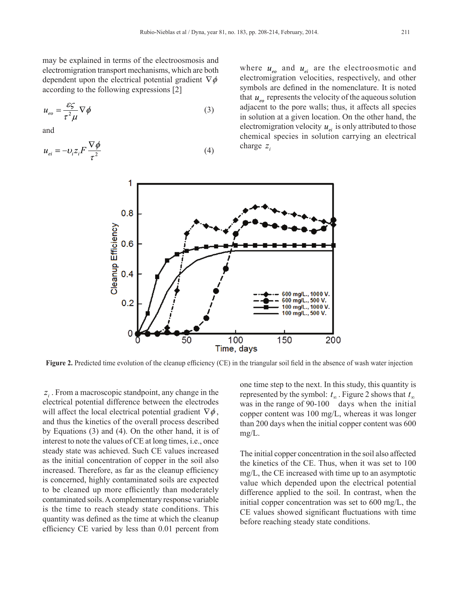may be explained in terms of the electroosmosis and electromigration transport mechanisms, which are both dependent upon the electrical potential gradient  $\nabla \phi$ according to the following expressions [2]

$$
u_{eo} = \frac{\varepsilon \zeta}{\tau^2 \mu} \nabla \phi \tag{3}
$$

and

$$
u_{ei} = -v_i z_i F \frac{\nabla \phi}{\tau^2}
$$
 (4)

where  $u_{eo}$  and  $u_{ei}$  are the electroosmotic and electromigration velocities, respectively, and other symbols are defined in the nomenclature. It is noted that  $u_{\text{eq}}$  represents the velocity of the aqueous solution adjacent to the pore walls; thus, it affects all species in solution at a given location. On the other hand, the electromigration velocity  $u_{ei}$  is only attributed to those chemical species in solution carrying an electrical charge  $z_i$ 



**Figure 2.** Predicted time evolution of the cleanup efficiency (CE) in the triangular soil field in the absence of wash water injection

*<sup>i</sup> z* . From a macroscopic standpoint, any change in the electrical potential difference between the electrodes will affect the local electrical potential gradient  $\nabla \phi$ , and thus the kinetics of the overall process described by Equations (3) and (4). On the other hand, it is of interest to note the values of CE at long times, i.e., once steady state was achieved. Such CE values increased as the initial concentration of copper in the soil also increased. Therefore, as far as the cleanup efficiency is concerned, highly contaminated soils are expected to be cleaned up more efficiently than moderately contaminated soils. A complementary response variable is the time to reach steady state conditions. This quantity was defined as the time at which the cleanup efficiency CE varied by less than 0.01 percent from

one time step to the next. In this study, this quantity is represented by the symbol:  $t_{\infty}$ . Figure 2 shows that  $t_{\infty}$ was in the range of 90-100 days when the initial copper content was 100 mg/L, whereas it was longer than 200 days when the initial copper content was 600 mg/L.

The initial copper concentration in the soil also affected the kinetics of the CE. Thus, when it was set to 100 mg/L, the CE increased with time up to an asymptotic value which depended upon the electrical potential difference applied to the soil. In contrast, when the initial copper concentration was set to 600 mg/L, the CE values showed significant fluctuations with time before reaching steady state conditions.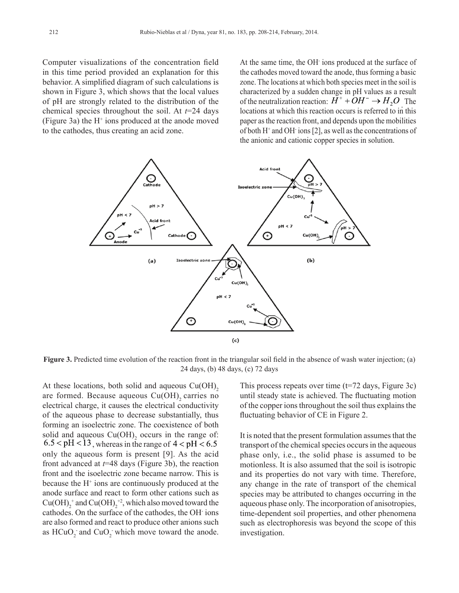Computer visualizations of the concentration field in this time period provided an explanation for this behavior. A simplified diagram of such calculations is shown in Figure 3, which shows that the local values of pH are strongly related to the distribution of the chemical species throughout the soil. At *t*=24 days (Figure 3a) the  $H^+$  ions produced at the anode moved to the cathodes, thus creating an acid zone.

At the same time, the OH- ions produced at the surface of the cathodes moved toward the anode, thus forming a basic zone. The locations at which both species meet in the soil is characterized by a sudden change in pH values as a result of the neutralization reaction:  $H^+ + OH^- \rightarrow H_2O^-$  The locations at which this reaction occurs is referred to in this paper as the reaction front, and depends upon the mobilities of both  $H^+$  and OH $\cdot$  ions [2], as well as the concentrations of the anionic and cationic copper species in solution.



**Figure 3.** Predicted time evolution of the reaction front in the triangular soil field in the absence of wash water injection; (a) 24 days, (b) 48 days, (c) 72 days

At these locations, both solid and aqueous  $Cu(OH)$ , are formed. Because aqueous  $Cu(OH)$ , carries no electrical charge, it causes the electrical conductivity of the aqueous phase to decrease substantially, thus forming an isoelectric zone. The coexistence of both solid and aqueous  $Cu(OH)$ <sub>2</sub> occurs in the range of:  $6.5 <$  pH  $<$  13, whereas in the range of 4  $<$  pH  $<$  6.5 only the aqueous form is present [9]. As the acid front advanced at *t*=48 days (Figure 3b), the reaction front and the isoelectric zone became narrow. This is because the H<sup>+</sup> ions are continuously produced at the anode surface and react to form other cations such as  $Cu(OH)<sub>2</sub><sup>+</sup>$  and  $Cu(OH)<sub>2</sub><sup>+</sup>$ , which also moved toward the cathodes. On the surface of the cathodes, the OH- ions are also formed and react to produce other anions such as  $\text{HCuO}_2$  and  $\text{CuO}_2$  which move toward the anode.

This process repeats over time (t=72 days, Figure 3c) until steady state is achieved. The fluctuating motion of the copper ions throughout the soil thus explains the fluctuating behavior of CE in Figure 2.

It is noted that the present formulation assumes that the transport of the chemical species occurs in the aqueous phase only, i.e., the solid phase is assumed to be motionless. It is also assumed that the soil is isotropic and its properties do not vary with time. Therefore, any change in the rate of transport of the chemical species may be attributed to changes occurring in the aqueous phase only. The incorporation of anisotropies, time-dependent soil properties, and other phenomena such as electrophoresis was beyond the scope of this investigation.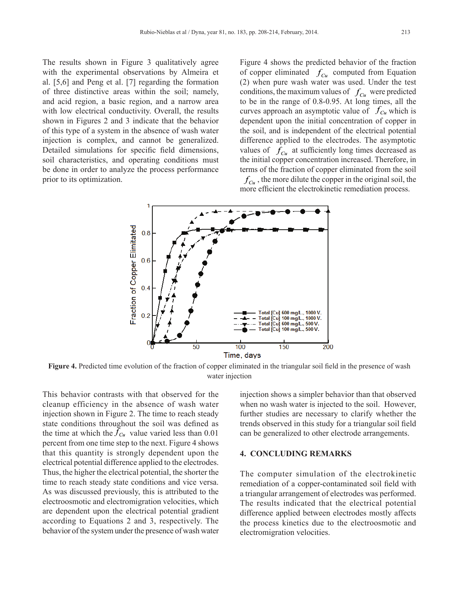The results shown in Figure 3 qualitatively agree with the experimental observations by Almeira et al. [5,6] and Peng et al. [7] regarding the formation of three distinctive areas within the soil; namely, and acid region, a basic region, and a narrow area with low electrical conductivity. Overall, the results shown in Figures 2 and 3 indicate that the behavior of this type of a system in the absence of wash water injection is complex, and cannot be generalized. Detailed simulations for specific field dimensions, soil characteristics, and operating conditions must be done in order to analyze the process performance prior to its optimization.

Figure 4 shows the predicted behavior of the fraction of copper eliminated  $f_{Cu}$  computed from Equation (2) when pure wash water was used. Under the test conditions, the maximum values of  $f_{Cu}$  were predicted to be in the range of 0.8-0.95. At long times, all the curves approach an asymptotic value of  $f_{Cu}$  which is dependent upon the initial concentration of copper in the soil, and is independent of the electrical potential difference applied to the electrodes. The asymptotic values of  $f_{Cu}$  at sufficiently long times decreased as the initial copper concentration increased. Therefore, in terms of the fraction of copper eliminated from the soil  $f_{Cu}$ , the more dilute the copper in the original soil, the

more efficient the electrokinetic remediation process.



Figure 4. Predicted time evolution of the fraction of copper eliminated in the triangular soil field in the presence of wash water injection

This behavior contrasts with that observed for the cleanup efficiency in the absence of wash water injection shown in Figure 2. The time to reach steady state conditions throughout the soil was defined as the time at which the  $\tilde{f}_{Cu}$  value varied less than 0.01 percent from one time step to the next. Figure 4 shows that this quantity is strongly dependent upon the electrical potential difference applied to the electrodes. Thus, the higher the electrical potential, the shorter the time to reach steady state conditions and vice versa. As was discussed previously, this is attributed to the electroosmotic and electromigration velocities, which are dependent upon the electrical potential gradient according to Equations 2 and 3, respectively. The behavior of the system under the presence of wash water injection shows a simpler behavior than that observed when no wash water is injected to the soil. However, further studies are necessary to clarify whether the trends observed in this study for a triangular soil field can be generalized to other electrode arrangements.

## **4. CONCLUDING REMARKS**

The computer simulation of the electrokinetic remediation of a copper-contaminated soil field with a triangular arrangement of electrodes was performed. The results indicated that the electrical potential difference applied between electrodes mostly affects the process kinetics due to the electroosmotic and electromigration velocities.